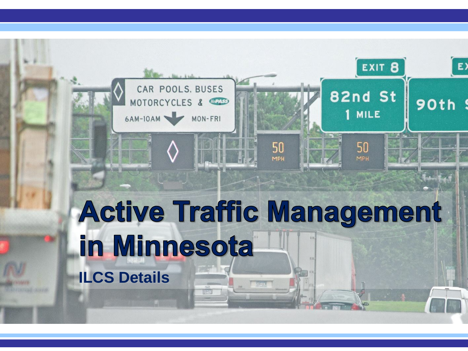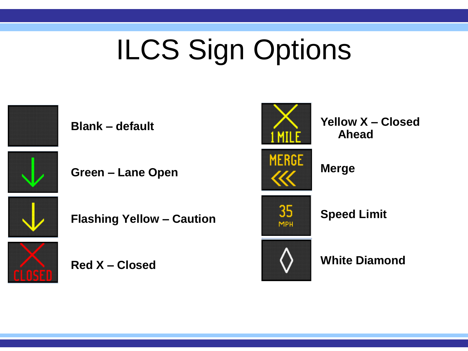# ILCS Sign Options



**Blank – default**

**Green – Lane Open**



**Flashing Yellow – Caution**



**Red X – Closed**



**Yellow X – Closed Ahead**



**Merge**



**Speed Limit**



**White Diamond**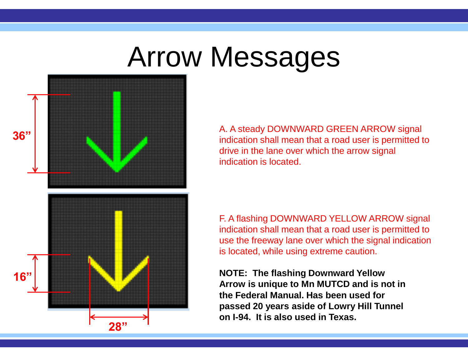### Arrow Messages



A. A steady DOWNWARD GREEN ARROW signal indication shall mean that a road user is permitted to drive in the lane over which the arrow signal indication is located.

F. A flashing DOWNWARD YELLOW ARROW signal indication shall mean that a road user is permitted to use the freeway lane over which the signal indication is located, while using extreme caution.

**NOTE: The flashing Downward Yellow Arrow is unique to Mn MUTCD and is not in the Federal Manual. Has been used for passed 20 years aside of Lowry Hill Tunnel on I-94. It is also used in Texas.**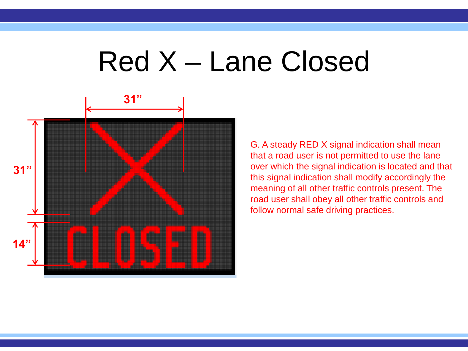#### Red X – Lane Closed



G. A steady RED X signal indication shall mean that a road user is not permitted to use the lane over which the signal indication is located and that this signal indication shall modify accordingly the meaning of all other traffic controls present. The road user shall obey all other traffic controls and follow normal safe driving practices.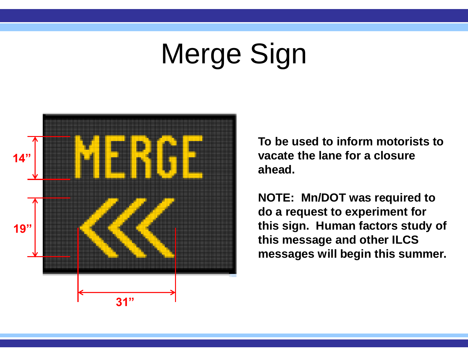### Merge Sign



**To be used to inform motorists to vacate the lane for a closure ahead.** 

**NOTE: Mn/DOT was required to do a request to experiment for this sign. Human factors study of this message and other ILCS messages will begin this summer.**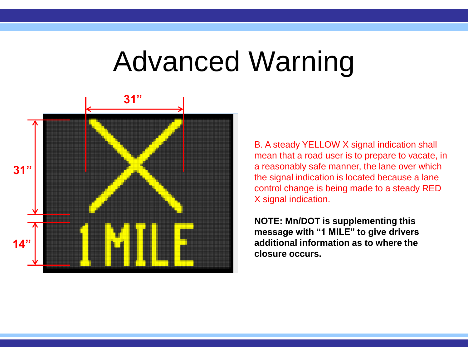#### Advanced Warning



B. A steady YELLOW X signal indication shall mean that a road user is to prepare to vacate, in a reasonably safe manner, the lane over which the signal indication is located because a lane control change is being made to a steady RED X signal indication.

**NOTE: Mn/DOT is supplementing this message with "1 MILE" to give drivers additional information as to where the closure occurs.**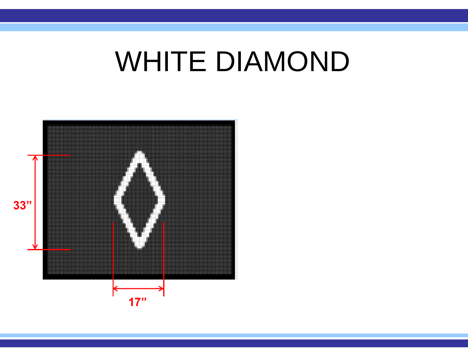### WHITE DIAMOND

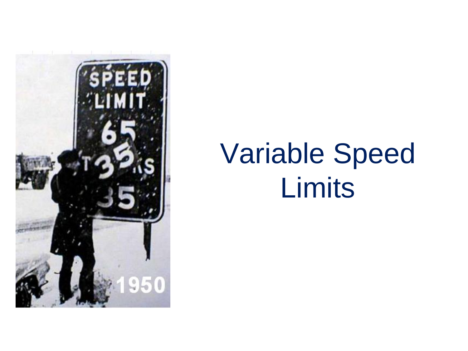

# Variable Speed Limits